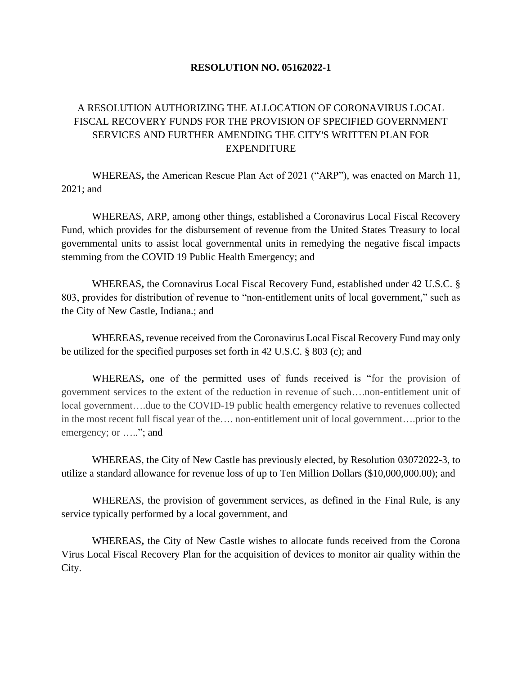## **RESOLUTION NO. 05162022-1**

## A RESOLUTION AUTHORIZING THE ALLOCATION OF CORONAVIRUS LOCAL FISCAL RECOVERY FUNDS FOR THE PROVISION OF SPECIFIED GOVERNMENT SERVICES AND FURTHER AMENDING THE CITY'S WRITTEN PLAN FOR EXPENDITURE

WHEREAS**,** the American Rescue Plan Act of 2021 ("ARP"), was enacted on March 11, 2021; and

WHEREAS, ARP, among other things, established a Coronavirus Local Fiscal Recovery Fund, which provides for the disbursement of revenue from the United States Treasury to local governmental units to assist local governmental units in remedying the negative fiscal impacts stemming from the COVID 19 Public Health Emergency; and

WHEREAS**,** the Coronavirus Local Fiscal Recovery Fund, established under 42 U.S.C. § 803, provides for distribution of revenue to "non-entitlement units of local government," such as the City of New Castle, Indiana.; and

WHEREAS**,** revenue received from the Coronavirus Local Fiscal Recovery Fund may only be utilized for the specified purposes set forth in 42 U.S.C. § 803 (c); and

WHEREAS**,** one of the permitted uses of funds received is "for the provision of government services to the extent of the reduction in revenue of such….non-entitlement unit of local government….due to the COVID-19 public health emergency relative to revenues collected in the most recent full fiscal year of the…. non-entitlement unit of local government….prior to the emergency; or ....."; and

WHEREAS, the City of New Castle has previously elected, by Resolution 03072022-3, to utilize a standard allowance for revenue loss of up to Ten Million Dollars (\$10,000,000.00); and

WHEREAS, the provision of government services, as defined in the Final Rule, is any service typically performed by a local government, and

WHEREAS**,** the City of New Castle wishes to allocate funds received from the Corona Virus Local Fiscal Recovery Plan for the acquisition of devices to monitor air quality within the City.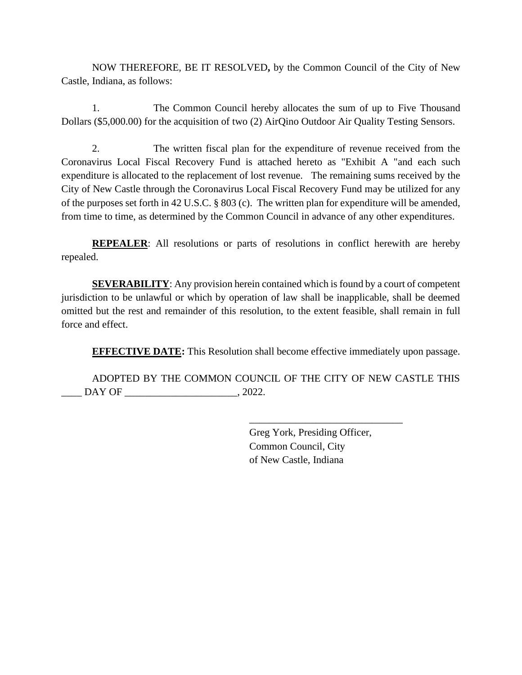NOW THEREFORE, BE IT RESOLVED**,** by the Common Council of the City of New Castle, Indiana, as follows:

1. The Common Council hereby allocates the sum of up to Five Thousand Dollars (\$5,000.00) for the acquisition of two (2) AirQino Outdoor Air Quality Testing Sensors.

2. The written fiscal plan for the expenditure of revenue received from the Coronavirus Local Fiscal Recovery Fund is attached hereto as "Exhibit A "and each such expenditure is allocated to the replacement of lost revenue. The remaining sums received by the City of New Castle through the Coronavirus Local Fiscal Recovery Fund may be utilized for any of the purposes set forth in 42 U.S.C. § 803 (c). The written plan for expenditure will be amended, from time to time, as determined by the Common Council in advance of any other expenditures.

**REPEALER:** All resolutions or parts of resolutions in conflict herewith are hereby repealed.

**SEVERABILITY:** Any provision herein contained which is found by a court of competent jurisdiction to be unlawful or which by operation of law shall be inapplicable, shall be deemed omitted but the rest and remainder of this resolution, to the extent feasible, shall remain in full force and effect.

**EFFECTIVE DATE:** This Resolution shall become effective immediately upon passage.

ADOPTED BY THE COMMON COUNCIL OF THE CITY OF NEW CASTLE THIS \_\_\_\_ DAY OF \_\_\_\_\_\_\_\_\_\_\_\_\_\_\_\_\_\_\_\_\_\_, 2022.

> Greg York, Presiding Officer, Common Council, City of New Castle, Indiana

\_\_\_\_\_\_\_\_\_\_\_\_\_\_\_\_\_\_\_\_\_\_\_\_\_\_\_\_\_\_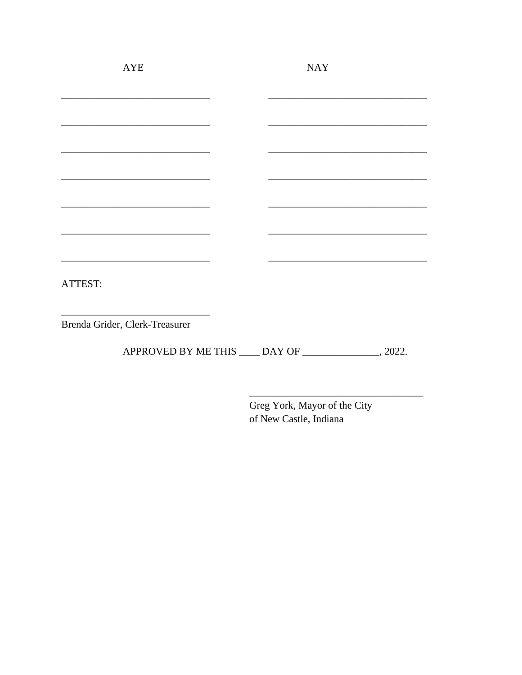| <b>AYE</b>                     | <b>NAY</b> |  |
|--------------------------------|------------|--|
|                                |            |  |
|                                |            |  |
|                                |            |  |
|                                |            |  |
|                                |            |  |
|                                |            |  |
|                                |            |  |
|                                |            |  |
| ATTEST:                        |            |  |
| Brenda Grider, Clerk-Treasurer |            |  |
|                                |            |  |

APPROVED BY ME THIS \_\_\_\_ DAY OF \_\_\_\_\_\_\_\_\_\_\_\_\_\_\_\_, 2022.

Greg York, Mayor of the City of New Castle, Indiana